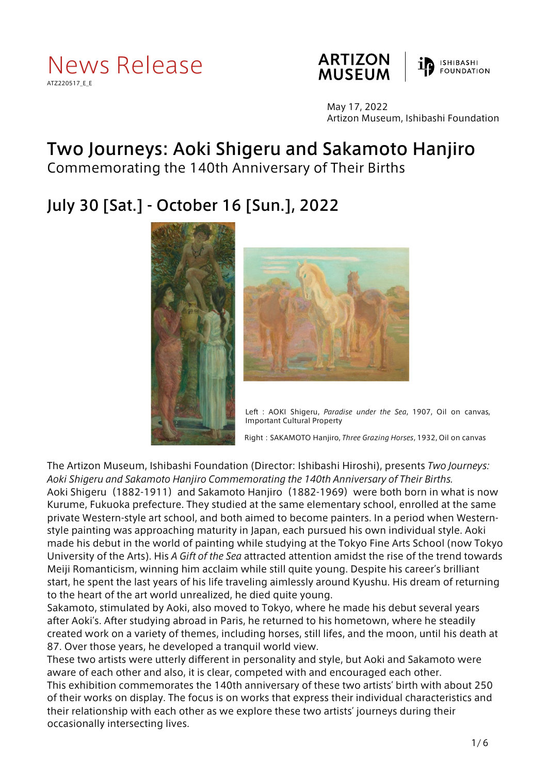





May 17, 2022 Artizon Museum, Ishibashi Foundation

# Two Journeys: Aoki Shigeru and Sakamoto Hanjiro

Commemorating the 140th Anniversary of Their Births

# July 30 [Sat.] - October 16 [Sun.], 2022





Left : AOKI Shigeru, *Paradise under the Sea*, 1907, Oil on canvas, Important Cultural Property

Right:SAKAMOTO Hanjiro, *Three Grazing Horses*, 1932, Oil on canvas

The Artizon Museum, Ishibashi Foundation (Director: Ishibashi Hiroshi), presents *Two Journeys: Aoki Shigeru and Sakamoto Hanjiro Commemorating the 140th Anniversary of Their Births.* Aoki Shigeru (1882-1911) and Sakamoto Hanjiro (1882-1969) were both born in what is now Kurume, Fukuoka prefecture. They studied at the same elementary school, enrolled at the same private Western-style art school, and both aimed to become painters. In a period when Westernstyle painting was approaching maturity in Japan, each pursued his own individual style. Aoki made his debut in the world of painting while studying at the Tokyo Fine Arts School (now Tokyo University of the Arts). His *A Gift of the Sea* attracted attention amidst the rise of the trend towards Meiji Romanticism, winning him acclaim while still quite young. Despite his career's brilliant start, he spent the last years of his life traveling aimlessly around Kyushu. His dream of returning to the heart of the art world unrealized, he died quite young.

Sakamoto, stimulated by Aoki, also moved to Tokyo, where he made his debut several years after Aoki's. After studying abroad in Paris, he returned to his hometown, where he steadily created work on a variety of themes, including horses, still lifes, and the moon, until his death at 87. Over those years, he developed a tranquil world view.

These two artists were utterly different in personality and style, but Aoki and Sakamoto were aware of each other and also, it is clear, competed with and encouraged each other. This exhibition commemorates the 140th anniversary of these two artists' birth with about 250 of their works on display. The focus is on works that express their individual characteristics and their relationship with each other as we explore these two artists' journeys during their occasionally intersecting lives.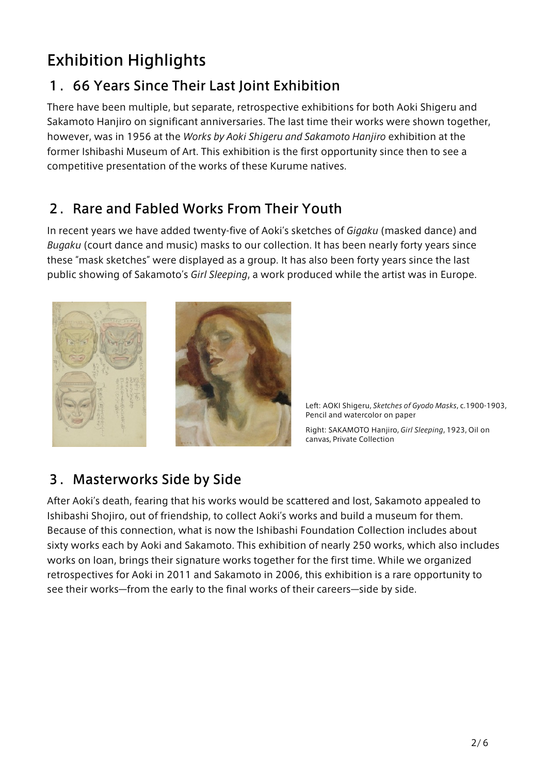# Exhibition Highlights

# 1.66 Years Since Their Last Joint Exhibition

There have been multiple, but separate, retrospective exhibitions for both Aoki Shigeru and Sakamoto Hanjiro on significant anniversaries. The last time their works were shown together, however, was in 1956 at the *Works by Aoki Shigeru and Sakamoto Hanjiro* exhibition at the former Ishibashi Museum of Art. This exhibition is the first opportunity since then to see a competitive presentation of the works of these Kurume natives.

### 2.Rare and Fabled Works From Their Youth

In recent years we have added twenty-five of Aoki's sketches of *Gigaku* (masked dance) and *Bugaku* (court dance and music) masks to our collection. It has been nearly forty years since these "mask sketches" were displayed as a group. It has also been forty years since the last public showing of Sakamoto's *Girl Sleeping*, a work produced while the artist was in Europe.



Left: AOKI Shigeru, *Sketches of Gyodo Masks*, c.1900-1903, Pencil and watercolor on paper

Right: SAKAMOTO Hanjiro, *Girl Sleeping*, 1923, Oil on canvas, Private Collection

### 3.Masterworks Side by Side

After Aoki's death, fearing that his works would be scattered and lost, Sakamoto appealed to Ishibashi Shojiro, out of friendship, to collect Aoki's works and build a museum for them. Because of this connection, what is now the Ishibashi Foundation Collection includes about sixty works each by Aoki and Sakamoto. This exhibition of nearly 250 works, which also includes works on loan, brings their signature works together for the first time. While we organized retrospectives for Aoki in 2011 and Sakamoto in 2006, this exhibition is a rare opportunity to see their works—from the early to the final works of their careers—side by side.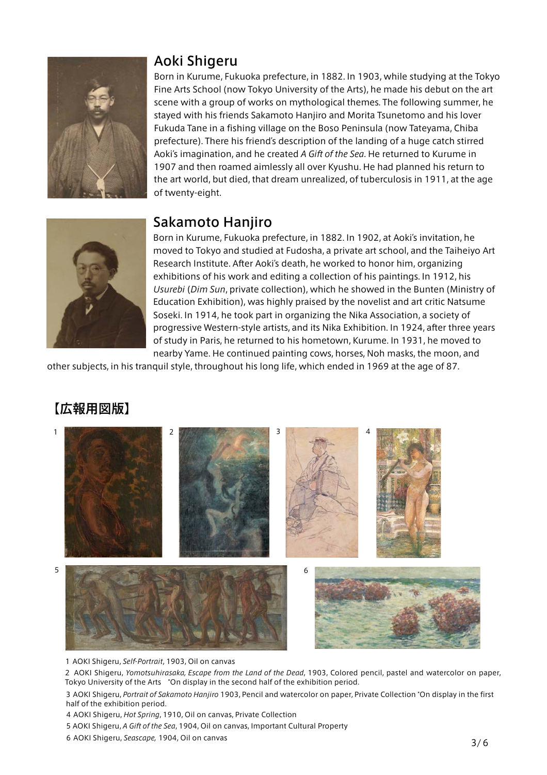

#### Aoki Shigeru

Born in Kurume, Fukuoka prefecture, in 1882. In 1903, while studying at the Tokyo Fine Arts School (now Tokyo University of the Arts), he made his debut on the art scene with a group of works on mythological themes. The following summer, he stayed with his friends Sakamoto Hanjiro and Morita Tsunetomo and his lover Fukuda Tane in a fishing village on the Boso Peninsula (now Tateyama, Chiba prefecture). There his friend's description of the landing of a huge catch stirred Aoki's imagination, and he created *A Gift of the Sea*. He returned to Kurume in 1907 and then roamed aimlessly all over Kyushu. He had planned his return to the art world, but died, that dream unrealized, of tuberculosis in 1911, at the age of twenty-eight.

#### Sakamoto Hanjiro



Born in Kurume, Fukuoka prefecture, in 1882. In 1902, at Aoki's invitation, he moved to Tokyo and studied at Fudosha, a private art school, and the Taiheiyo Art Research Institute. After Aoki's death, he worked to honor him, organizing exhibitions of his work and editing a collection of his paintings. In 1912, his *Usurebi* (*Dim Sun*, private collection), which he showed in the Bunten (Ministry of Education Exhibition), was highly praised by the novelist and art critic Natsume Soseki. In 1914, he took part in organizing the Nika Association, a society of progressive Western-style artists, and its Nika Exhibition. In 1924, after three years of study in Paris, he returned to his hometown, Kurume. In 1931, he moved to nearby Yame. He continued painting cows, horses, Noh masks, the moon, and

other subjects, in his tranquil style, throughout his long life, which ended in 1969 at the age of 87.

# 【広報用図版】



1 AOKI Shigeru, *Self-Portrait*, 1903, Oil on canvas

2 AOKI Shigeru, *Yomotsuhirasaka, Escape from the Land of the Dead*, 1903, Colored pencil, pastel and watercolor on paper, Tokyo University of the Arts \*On display in the second half of the exhibition period.

3 AOKI Shigeru, *Portrait of Sakamoto Hanjiro* 1903, Pencil and watercolor on paper, Private Collection \*On display in the first half of the exhibition period.

4 AOKI Shigeru, *Hot Spring*, 1910, Oil on canvas, Private Collection

5 AOKI Shigeru, *A Gift of the Sea*, 1904, Oil on canvas, Important Cultural Property

6 AOKI Shigeru, *Seascape,* 1904, Oil on canvas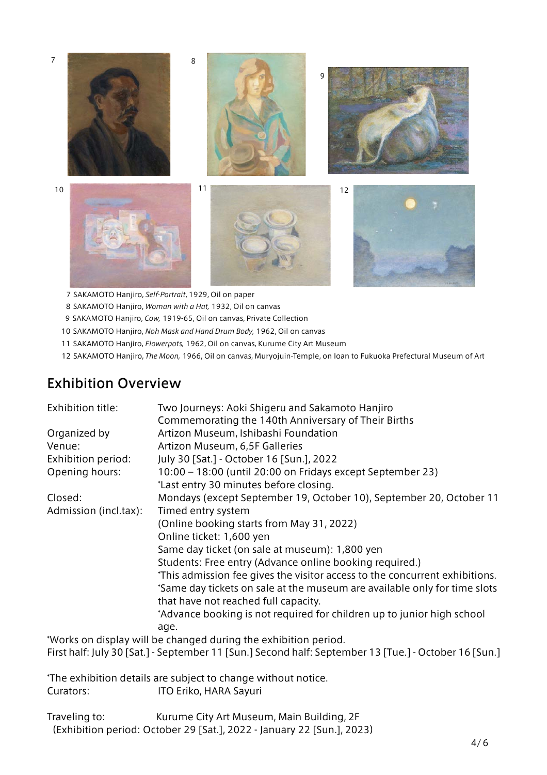

7 SAKAMOTO Hanjiro, *Self-Portrait*, 1929, Oil on paper

8 SAKAMOTO Hanjiro, *Woman with a Hat,* 1932, Oil on canvas

9 SAKAMOTO Hanjiro, *Cow,* 1919-65, Oil on canvas, Private Collection

10 SAKAMOTO Hanjiro, *Noh Mask and Hand Drum Body,* 1962, Oil on canvas

11 SAKAMOTO Hanjiro, *Flowerpots,* 1962, Oil on canvas, Kurume City Art Museum

12 SAKAMOTO Hanjiro, *The Moon,* 1966, Oil on canvas, Muryojuin-Temple, on loan to Fukuoka Prefectural Museum of Art

#### Exhibition Overview

| Exhibition title:     | Two Journeys: Aoki Shigeru and Sakamoto Hanjiro                                                                   |
|-----------------------|-------------------------------------------------------------------------------------------------------------------|
|                       | Commemorating the 140th Anniversary of Their Births                                                               |
| Organized by          | Artizon Museum, Ishibashi Foundation                                                                              |
| Venue:                | Artizon Museum, 6,5F Galleries                                                                                    |
| Exhibition period:    | July 30 [Sat.] - October 16 [Sun.], 2022                                                                          |
| Opening hours:        | 10:00 - 18:00 (until 20:00 on Fridays except September 23)                                                        |
|                       | *Last entry 30 minutes before closing.                                                                            |
| Closed:               | Mondays (except September 19, October 10), September 20, October 11                                               |
| Admission (incl.tax): | Timed entry system                                                                                                |
|                       | (Online booking starts from May 31, 2022)                                                                         |
|                       | Online ticket: 1,600 yen                                                                                          |
|                       | Same day ticket (on sale at museum): 1,800 yen                                                                    |
|                       | Students: Free entry (Advance online booking required.)                                                           |
|                       | *This admission fee gives the visitor access to the concurrent exhibitions.                                       |
|                       | *Same day tickets on sale at the museum are available only for time slots<br>that have not reached full capacity. |
|                       | *Advance booking is not required for children up to junior high school                                            |
|                       | age.                                                                                                              |
|                       | *Works on display will be changed during the exhibition period.                                                   |
|                       | First half: July 30 [Sat.] - September 11 [Sun.] Second half: September 13 [Tue.] - October 16 [Sun.]             |
|                       | *The exhibition details are subject to change without notice.                                                     |
| Curators:             | ITO Eriko, HARA Sayuri                                                                                            |
| Traveling to:         | Kurume City Art Museum, Main Building, 2F                                                                         |

(Exhibition period: October 29 [Sat.], 2022 - January 22 [Sun.], 2023)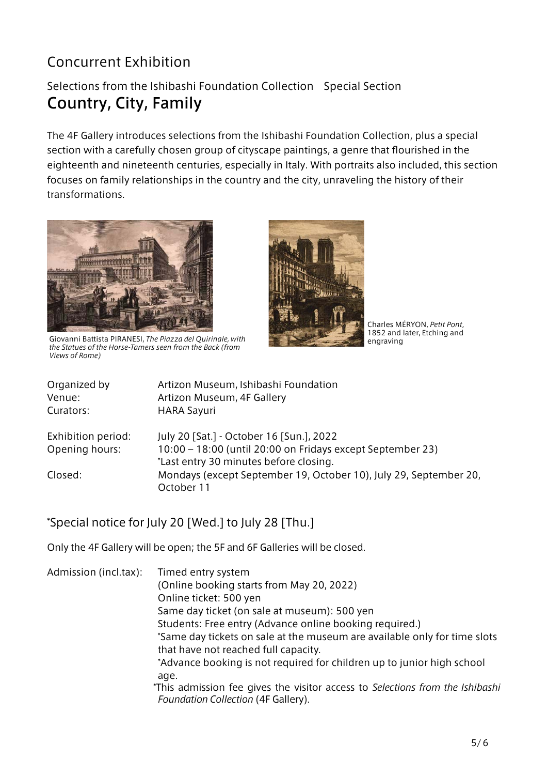# Concurrent Exhibition

#### Selections from the Ishibashi Foundation Collection Special Section Country, City, Family

The 4F Gallery introduces selections from the Ishibashi Foundation Collection, plus a special section with a carefully chosen group of cityscape paintings, a genre that flourished in the eighteenth and nineteenth centuries, especially in Italy. With portraits also included, this section focuses on family relationships in the country and the city, unraveling the history of their transformations.



Giovanni Battista PIRANESI, *The Piazza del Quirinale, with the Statues of the Horse-Tamers seen from the Back (from Views of Rome)*



Charles MÉRYON, *Petit Pont*, 1852 and later, Etching and engraving

| Organized by       | Artizon Museum, Ishibashi Foundation                                            |
|--------------------|---------------------------------------------------------------------------------|
| Venue:             | Artizon Museum, 4F Gallery                                                      |
| Curators:          | <b>HARA Sayuri</b>                                                              |
| Exhibition period: | July 20 [Sat.] - October 16 [Sun.], 2022                                        |
| Opening hours:     | 10:00 - 18:00 (until 20:00 on Fridays except September 23)                      |
|                    | *Last entry 30 minutes before closing.                                          |
| Closed:            | Mondays (except September 19, October 10), July 29, September 20,<br>October 11 |

#### \*Special notice for July 20 [Wed.] to July 28 [Thu.]

Only the 4F Gallery will be open; the 5F and 6F Galleries will be closed.

| Admission (incl.tax): | Timed entry system                                                            |
|-----------------------|-------------------------------------------------------------------------------|
|                       | (Online booking starts from May 20, 2022)                                     |
|                       |                                                                               |
|                       | Online ticket: 500 yen                                                        |
|                       | Same day ticket (on sale at museum): 500 yen                                  |
|                       | Students: Free entry (Advance online booking required.)                       |
|                       | *Same day tickets on sale at the museum are available only for time slots     |
|                       | that have not reached full capacity.                                          |
|                       | *Advance booking is not required for children up to junior high school        |
|                       | age.                                                                          |
|                       | *This admission fee gives the visitor access to Selections from the Ishibashi |
|                       | Foundation Collection (4F Gallery).                                           |